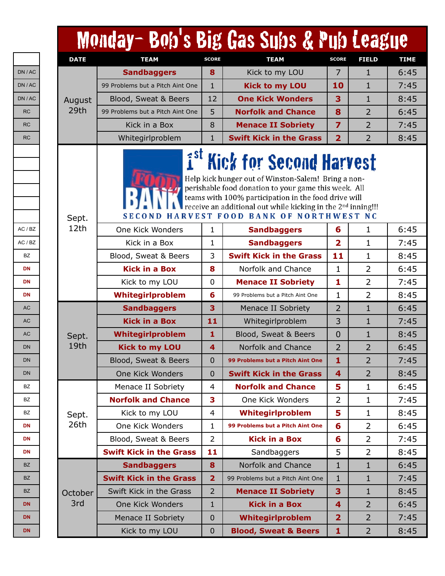|             | Monday-Bob's Big Gas Subs & Pub League |                |                                                                                                                                                                                                                                                                                                                               |                |                |             |
|-------------|----------------------------------------|----------------|-------------------------------------------------------------------------------------------------------------------------------------------------------------------------------------------------------------------------------------------------------------------------------------------------------------------------------|----------------|----------------|-------------|
| <b>DATE</b> | <b>TEAM</b>                            | <b>SCORE</b>   | <b>TEAM</b>                                                                                                                                                                                                                                                                                                                   | <b>SCORE</b>   | <b>FIELD</b>   | <b>TIME</b> |
|             | <b>Sandbaggers</b>                     | 8              | Kick to my LOU                                                                                                                                                                                                                                                                                                                | 7              | $\mathbf{1}$   | 6:45        |
|             | 99 Problems but a Pitch Aint One       | $\mathbf{1}$   | <b>Kick to my LOU</b>                                                                                                                                                                                                                                                                                                         | 10             | $\mathbf{1}$   | 7:45        |
| August      | Blood, Sweat & Beers                   | 12             | <b>One Kick Wonders</b>                                                                                                                                                                                                                                                                                                       | 3              | 1              | 8:45        |
| 29th        | 99 Problems but a Pitch Aint One       | 5              | <b>Norfolk and Chance</b>                                                                                                                                                                                                                                                                                                     | 8              | 2              | 6:45        |
|             | Kick in a Box                          | 8              | <b>Menace II Sobriety</b>                                                                                                                                                                                                                                                                                                     | $\overline{7}$ | $\overline{2}$ | 7:45        |
|             | Whitegirlproblem                       | $\mathbf{1}$   | <b>Swift Kick in the Grass</b>                                                                                                                                                                                                                                                                                                | $\overline{2}$ | $\overline{2}$ | 8:45        |
| Sept.       | $\mathbf{f}^{\text{st}}$               |                | <b>Kick for Second Harvest</b><br>Help kick hunger out of Winston-Salem! Bring a non-<br>perishable food donation to your game this week. All<br>teams with 100% participation in the food drive will<br>receive an additional out while kicking in the 2 <sup>nd</sup> inning!!!<br>SECOND HARVEST FOOD BANK OF NORTHWEST NC |                |                |             |
| 12th        | One Kick Wonders                       | 1              | <b>Sandbaggers</b>                                                                                                                                                                                                                                                                                                            | 6              | 1              | 6:45        |
|             | Kick in a Box                          | 1              | <b>Sandbaggers</b>                                                                                                                                                                                                                                                                                                            | $\overline{2}$ | 1              | 7:45        |
|             | Blood, Sweat & Beers                   | 3              | <b>Swift Kick in the Grass</b>                                                                                                                                                                                                                                                                                                | 11             | 1              | 8:45        |
|             | <b>Kick in a Box</b>                   | 8              | Norfolk and Chance                                                                                                                                                                                                                                                                                                            | 1              | 2              | 6:45        |
|             | Kick to my LOU                         | $\mathbf 0$    | <b>Menace II Sobriety</b>                                                                                                                                                                                                                                                                                                     | 1              | $\overline{2}$ | 7:45        |
|             | Whitegirlproblem                       | 6              | 99 Problems but a Pitch Aint One                                                                                                                                                                                                                                                                                              | $\mathbf{1}$   | $\overline{2}$ | 8:45        |
|             | <b>Sandbaggers</b>                     | 3              | Menace II Sobriety                                                                                                                                                                                                                                                                                                            | $\overline{2}$ | 1              | 6:45        |
|             | <b>Kick in a Box</b>                   | 11             | Whitegirlproblem                                                                                                                                                                                                                                                                                                              | 3              | 1              | 7:45        |
| Sept.       | Whitegirlproblem                       | 1              | Blood, Sweat & Beers                                                                                                                                                                                                                                                                                                          | 0              | 1              | 8:45        |
| 19th        | <b>Kick to my LOU</b>                  | 4              | Norfolk and Chance                                                                                                                                                                                                                                                                                                            | $\overline{2}$ | $\overline{2}$ | 6:45        |
|             | Blood, Sweat & Beers                   | 0              | 99 Problems but a Pitch Aint One                                                                                                                                                                                                                                                                                              | 1              | 2              | 7:45        |
|             | One Kick Wonders                       | $\mathbf{0}$   | <b>Swift Kick in the Grass</b>                                                                                                                                                                                                                                                                                                | 4              | $\overline{2}$ | 8:45        |
|             | Menace II Sobriety                     | 4              | <b>Norfolk and Chance</b>                                                                                                                                                                                                                                                                                                     | 5              | $\mathbf{1}$   | 6:45        |
|             | <b>Norfolk and Chance</b>              | 3              | One Kick Wonders                                                                                                                                                                                                                                                                                                              | 2              | 1              | 7:45        |
| Sept.       | Kick to my LOU                         | 4              | Whitegirlproblem                                                                                                                                                                                                                                                                                                              | 5              | 1              | 8:45        |
| 26th        | One Kick Wonders                       | $\mathbf 1$    | 99 Problems but a Pitch Aint One                                                                                                                                                                                                                                                                                              | 6              | 2              | 6:45        |
|             | Blood, Sweat & Beers                   | $\overline{2}$ | <b>Kick in a Box</b>                                                                                                                                                                                                                                                                                                          | 6              | 2              | 7:45        |
|             | <b>Swift Kick in the Grass</b>         | 11             | Sandbaggers                                                                                                                                                                                                                                                                                                                   | 5              | $\overline{2}$ | 8:45        |
|             | <b>Sandbaggers</b>                     | 8              | Norfolk and Chance                                                                                                                                                                                                                                                                                                            | 1              | $\mathbf{1}$   | 6:45        |
|             | <b>Swift Kick in the Grass</b>         | $\overline{2}$ | 99 Problems but a Pitch Aint One                                                                                                                                                                                                                                                                                              | $\mathbf{1}$   | 1              | 7:45        |
| October     | Swift Kick in the Grass                | $\overline{2}$ | <b>Menace II Sobriety</b>                                                                                                                                                                                                                                                                                                     | 3              | 1              | 8:45        |
| 3rd         | One Kick Wonders                       | $\mathbf{1}$   | <b>Kick in a Box</b>                                                                                                                                                                                                                                                                                                          | 4              | $\overline{2}$ | 6:45        |
|             | Menace II Sobriety                     | $\mathbf 0$    | Whitegirlproblem                                                                                                                                                                                                                                                                                                              | $\overline{2}$ | $\overline{2}$ | 7:45        |
|             | Kick to my LOU                         | $\pmb{0}$      | <b>Blood, Sweat &amp; Beers</b>                                                                                                                                                                                                                                                                                               | 1              | $\overline{2}$ | 8:45        |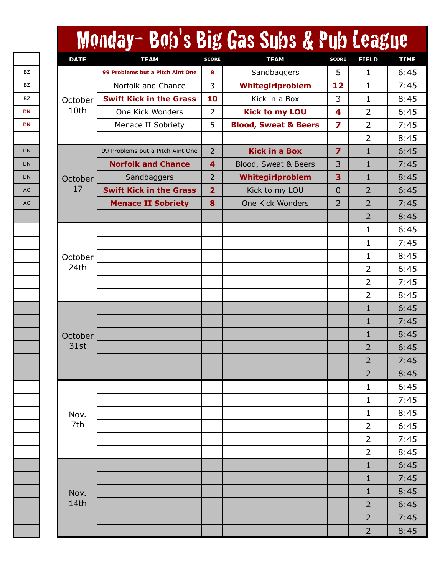|             | Monday- Bob's Big Gas Subs & Pub League |                |                                 |                         |                |  |
|-------------|-----------------------------------------|----------------|---------------------------------|-------------------------|----------------|--|
| <b>DATE</b> | <b>TEAM</b>                             | <b>SCORE</b>   | <b>TEAM</b>                     | <b>SCORE</b>            | <b>FIELD</b>   |  |
|             | 99 Problems but a Pitch Aint One        | 8              | Sandbaggers                     | 5                       | 1              |  |
|             | Norfolk and Chance                      | 3              | Whitegirlproblem                | 12                      | 1              |  |
| October     | <b>Swift Kick in the Grass</b>          | 10             | Kick in a Box                   | 3                       | 1              |  |
| 10th        | One Kick Wonders                        | $\overline{2}$ | <b>Kick to my LOU</b>           | 4                       | 2              |  |
|             | Menace II Sobriety                      | 5              | <b>Blood, Sweat &amp; Beers</b> | 7                       | $\overline{2}$ |  |
|             |                                         |                |                                 |                         | $\overline{2}$ |  |
|             | 99 Problems but a Pitch Aint One        | $\overline{2}$ | <b>Kick in a Box</b>            | $\overline{\mathbf{z}}$ | $\mathbf{1}$   |  |
|             | <b>Norfolk and Chance</b>               | 4              | Blood, Sweat & Beers            | 3                       | $\mathbf{1}$   |  |
| October     | Sandbaggers                             | $\overline{2}$ | Whitegirlproblem                | 3                       | 1              |  |
| 17          | <b>Swift Kick in the Grass</b>          | $\overline{2}$ | Kick to my LOU                  | 0                       | $\overline{2}$ |  |
|             | <b>Menace II Sobriety</b>               | 8              | One Kick Wonders                | 2                       | $\overline{2}$ |  |
|             |                                         |                |                                 |                         | $\overline{2}$ |  |
|             |                                         |                |                                 |                         | 1              |  |
|             |                                         |                |                                 |                         | 1              |  |
| October     |                                         |                |                                 |                         | 1              |  |
| 24th        |                                         |                |                                 |                         | $\overline{2}$ |  |
|             |                                         |                |                                 |                         | 2              |  |
|             |                                         |                |                                 |                         | 2              |  |
|             |                                         |                |                                 |                         | $\mathbf{1}$   |  |
|             |                                         |                |                                 |                         | 1              |  |
| October     |                                         |                |                                 |                         | $\mathbf{1}$   |  |
| 31st        |                                         |                |                                 |                         | 2              |  |
|             |                                         |                |                                 |                         | $\overline{2}$ |  |
|             |                                         |                |                                 |                         | $\overline{2}$ |  |
|             |                                         |                |                                 |                         | $\mathbf 1$    |  |
|             |                                         |                |                                 |                         | 1              |  |
| Nov.        |                                         |                |                                 |                         | 1              |  |
| 7th         |                                         |                |                                 |                         | 2              |  |
|             |                                         |                |                                 |                         | 2              |  |
|             |                                         |                |                                 |                         | $\overline{2}$ |  |
|             |                                         |                |                                 |                         | $\mathbf{1}$   |  |
|             |                                         |                |                                 |                         | $\mathbf{1}$   |  |
| Nov.        |                                         |                |                                 |                         | $\mathbf 1$    |  |
| 14th        |                                         |                |                                 |                         | $\overline{2}$ |  |
|             |                                         |                |                                 |                         | $\overline{2}$ |  |
|             |                                         |                |                                 |                         | $\overline{2}$ |  |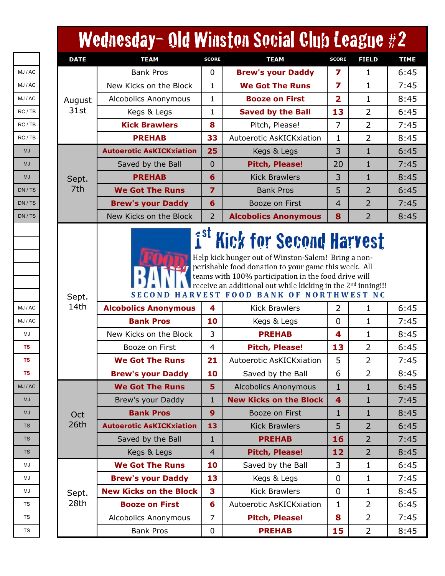|             | Wednesday- Old Winston Social Club League #2                                                |                   |                                                                               |                                             |                  |
|-------------|---------------------------------------------------------------------------------------------|-------------------|-------------------------------------------------------------------------------|---------------------------------------------|------------------|
| <b>DATE</b> | <b>TEAM</b>                                                                                 | <b>SCORE</b>      | <b>TEAM</b>                                                                   | <b>SCORE</b>                                | <b>FIELD</b>     |
|             | <b>Bank Pros</b>                                                                            | $\mathbf 0$       | <b>Brew's your Daddy</b>                                                      | 7                                           | 1                |
|             | New Kicks on the Block                                                                      | 1                 | <b>We Got The Runs</b>                                                        | 7                                           | 1                |
| August      | Alcobolics Anonymous                                                                        | 1                 | <b>Booze on First</b>                                                         | $\overline{2}$                              | 1                |
| 31st        | Kegs & Legs                                                                                 | 1                 | <b>Saved by the Ball</b>                                                      | 13                                          | 2                |
|             | <b>Kick Brawlers</b>                                                                        | 8                 | Pitch, Please!                                                                | 7                                           | $\overline{2}$   |
|             | <b>PREHAB</b>                                                                               | 33                | Autoerotic AsKICKxiation                                                      | 1                                           | $\overline{2}$   |
|             | <b>Autoerotic AsKICKxiation</b>                                                             | 25                | Kegs & Legs                                                                   | 3                                           | $\mathbf{1}$     |
|             | Saved by the Ball                                                                           | $\overline{0}$    | <b>Pitch, Please!</b>                                                         | 20                                          | 1                |
| Sept.       | <b>PREHAB</b>                                                                               | 6                 | <b>Kick Brawlers</b>                                                          | 3                                           | 1                |
| 7th         | <b>We Got The Runs</b>                                                                      | $\overline{z}$    | <b>Bank Pros</b>                                                              | 5                                           | $\overline{2}$   |
|             | <b>Brew's your Daddy</b>                                                                    | 6                 | Booze on First                                                                | $\overline{4}$                              | 2                |
|             | New Kicks on the Block                                                                      | $\overline{2}$    | <b>Alcobolics Anonymous</b>                                                   | 8                                           | $\overline{2}$   |
| 14th        | <b>Alcobolics Anonymous</b><br><b>Bank Pros</b><br>New Kicks on the Block<br>Booze on First | 4<br>10<br>3<br>4 | <b>Kick Brawlers</b><br>Kegs & Legs<br><b>PREHAB</b><br><b>Pitch, Please!</b> | $\overline{2}$<br>$\overline{0}$<br>4<br>13 | 1<br>1<br>1<br>2 |
|             | <b>We Got The Runs</b>                                                                      | 21                | Autoerotic AsKICKxiation                                                      | 5                                           | $\overline{2}$   |
|             | <b>Brew's your Daddy</b>                                                                    | 10                | Saved by the Ball                                                             | 6                                           | $\overline{2}$   |
|             | <b>We Got The Runs</b>                                                                      | 5                 | <b>Alcobolics Anonymous</b>                                                   | 1                                           | $\mathbf{1}$     |
|             | Brew's your Daddy                                                                           | 1                 | <b>New Kicks on the Block</b>                                                 | $\overline{\mathbf{4}}$                     | $\mathbf{1}$     |
| Oct         | <b>Bank Pros</b>                                                                            | 9                 | Booze on First                                                                | 1                                           | 1                |
| 26th        | <b>Autoerotic AsKICKxiation</b>                                                             | 13                | <b>Kick Brawlers</b>                                                          | 5                                           | $\overline{2}$   |
|             | Saved by the Ball                                                                           | 1                 | <b>PREHAB</b>                                                                 | 16                                          | $\overline{2}$   |
|             | Kegs & Legs                                                                                 | $\overline{4}$    | Pitch, Please!                                                                | 12                                          | $\overline{2}$   |
|             | <b>We Got The Runs</b>                                                                      | 10                | Saved by the Ball                                                             | 3                                           | $\mathbf 1$      |
|             | <b>Brew's your Daddy</b>                                                                    | 13                | Kegs & Legs                                                                   | $\mathbf 0$                                 | $\mathbf 1$      |
| Sept.       | <b>New Kicks on the Block</b>                                                               | 3                 | <b>Kick Brawlers</b>                                                          | $\mathbf 0$                                 | $\mathbf 1$      |
| 28th        | <b>Booze on First</b>                                                                       | 6                 | Autoerotic AsKICKxiation                                                      | 1                                           | $\overline{2}$   |
|             | Alcobolics Anonymous                                                                        | $\overline{7}$    | <b>Pitch, Please!</b>                                                         | 8                                           | $\overline{2}$   |
|             | <b>Bank Pros</b>                                                                            | $\mathbf 0$       | <b>PREHAB</b>                                                                 | 15                                          | $\overline{2}$   |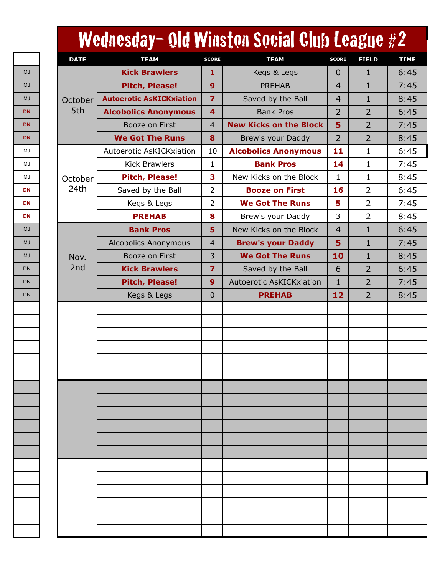| <b>DATE</b> | <b>TEAM</b>                     | <b>SCORE</b>            | <b>TEAM</b>                     | <b>SCORE</b>   | <b>FIELD</b>   |  |
|-------------|---------------------------------|-------------------------|---------------------------------|----------------|----------------|--|
|             | <b>Kick Brawlers</b>            | 1                       | Kegs & Legs                     | $\overline{0}$ | $\mathbf{1}$   |  |
|             | <b>Pitch, Please!</b>           | 9                       | <b>PREHAB</b>                   | $\overline{4}$ | $\mathbf{1}$   |  |
| October     | <b>Autoerotic AsKICKxiation</b> | $\overline{\mathbf{z}}$ | Saved by the Ball               | $\overline{4}$ | $\mathbf{1}$   |  |
| 5th         | <b>Alcobolics Anonymous</b>     | 4                       | <b>Bank Pros</b>                | $\overline{2}$ | $\overline{2}$ |  |
|             | Booze on First                  | $\overline{4}$          | <b>New Kicks on the Block</b>   | 5              | $\overline{2}$ |  |
|             | <b>We Got The Runs</b>          | 8                       | Brew's your Daddy               | $\overline{2}$ | $\overline{2}$ |  |
|             | Autoerotic AsKICKxiation        | 10                      | <b>Alcobolics Anonymous</b>     | 11             | $\mathbf 1$    |  |
|             | <b>Kick Brawlers</b>            | 1                       | <b>Bank Pros</b>                | 14             | $\mathbf{1}$   |  |
| October     | <b>Pitch, Please!</b>           | 3                       | New Kicks on the Block          | 1              | $\mathbf 1$    |  |
| 24th        | Saved by the Ball               | $\overline{2}$          | <b>Booze on First</b>           | 16             | $\overline{2}$ |  |
|             | Kegs & Legs                     | 2                       | <b>We Got The Runs</b>          | 5              | $\overline{2}$ |  |
|             | <b>PREHAB</b>                   | 8                       | Brew's your Daddy               | 3              | $\overline{2}$ |  |
|             | <b>Bank Pros</b>                | 5                       | New Kicks on the Block          | $\overline{4}$ | $\mathbf{1}$   |  |
|             | <b>Alcobolics Anonymous</b>     | $\overline{4}$          | <b>Brew's your Daddy</b>        | 5              | $\mathbf{1}$   |  |
| Nov.        | Booze on First                  | 3                       | <b>We Got The Runs</b>          | 10             | $\mathbf{1}$   |  |
| 2nd         | <b>Kick Brawlers</b>            | $\overline{z}$          | Saved by the Ball               | 6              | $\overline{2}$ |  |
|             | <b>Pitch, Please!</b>           | 9                       | <b>Autoerotic AsKICKxiation</b> | $\mathbf{1}$   | $\overline{2}$ |  |
|             | Kegs & Legs                     | $\mathbf{0}$            | <b>PREHAB</b>                   | 12             | $\overline{2}$ |  |
|             |                                 |                         |                                 |                |                |  |
|             |                                 |                         |                                 |                |                |  |
|             |                                 |                         |                                 |                |                |  |
|             |                                 |                         |                                 |                |                |  |
|             |                                 |                         |                                 |                |                |  |
|             |                                 |                         |                                 |                |                |  |
|             |                                 |                         |                                 |                |                |  |
|             |                                 |                         |                                 |                |                |  |
|             |                                 |                         |                                 |                |                |  |
|             |                                 |                         |                                 |                |                |  |
|             |                                 |                         |                                 |                |                |  |
|             |                                 |                         |                                 |                |                |  |
|             |                                 |                         |                                 |                |                |  |
|             |                                 |                         |                                 |                |                |  |
|             |                                 |                         |                                 |                |                |  |
|             |                                 |                         |                                 |                |                |  |
|             |                                 |                         |                                 |                |                |  |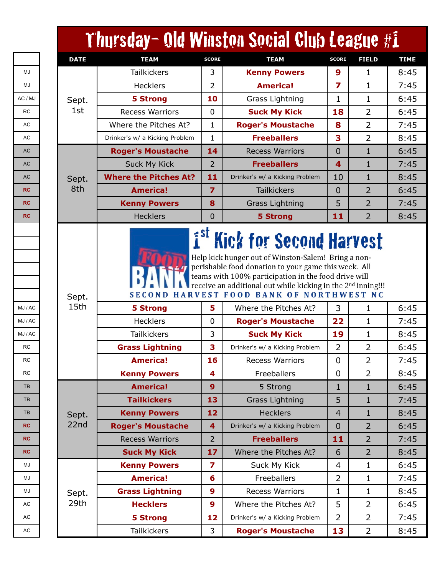|               | Thursday- Old Winston Social Club League #1 |                         |                                                                   |                |                |
|---------------|---------------------------------------------|-------------------------|-------------------------------------------------------------------|----------------|----------------|
| <b>DATE</b>   | <b>TEAM</b>                                 | <b>SCORE</b>            | <b>TEAM</b>                                                       | <b>SCORE</b>   | <b>FIELD</b>   |
|               | <b>Tailkickers</b>                          | 3                       | <b>Kenny Powers</b>                                               | 9              | 1              |
|               | Hecklers                                    | $\overline{2}$          | <b>America!</b>                                                   | 7              | 1              |
| Sept.         | <b>5 Strong</b>                             | 10                      | Grass Lightning                                                   | 1              | 1              |
| 1st           | <b>Recess Warriors</b>                      | $\mathbf 0$             | <b>Suck My Kick</b>                                               | 18             | $\overline{2}$ |
|               | Where the Pitches At?                       | 1                       | <b>Roger's Moustache</b>                                          | 8              | $\overline{2}$ |
|               | Drinker's w/ a Kicking Problem              | $\mathbf{1}$            | <b>Freeballers</b>                                                | 3              | $\overline{2}$ |
|               | <b>Roger's Moustache</b>                    | 14                      | <b>Recess Warriors</b>                                            | $\Omega$       | $\mathbf 1$    |
|               | <b>Suck My Kick</b>                         | $\overline{2}$          | <b>Freeballers</b>                                                | 4              | 1              |
| Sept.         | <b>Where the Pitches At?</b>                | 11                      | Drinker's w/ a Kicking Problem                                    | 10             | 1              |
| 8th           | <b>America!</b>                             | $\overline{7}$          | <b>Tailkickers</b>                                                | $\overline{0}$ | 2              |
|               | <b>Kenny Powers</b>                         | 8                       | <b>Grass Lightning</b>                                            | 5              | 2              |
|               | <b>Hecklers</b>                             | $\overline{0}$          | <b>5 Strong</b>                                                   | 11             | $\overline{2}$ |
| Sept.<br>15th | <b>SECOND</b><br><b>5 Strong</b>            | 5                       | <b>HARVEST FOOD BANK OF NORTHWEST NC</b><br>Where the Pitches At? | 3              | 1              |
|               | <b>Hecklers</b>                             | $\mathbf 0$             | <b>Roger's Moustache</b>                                          | 22             | 1              |
|               | <b>Tailkickers</b>                          | 3                       | <b>Suck My Kick</b>                                               | 19             | 1              |
|               | <b>Grass Lightning</b>                      | 3                       | Drinker's w/ a Kicking Problem                                    | 2              | 2              |
|               | <b>America!</b>                             | 16                      | <b>Recess Warriors</b>                                            | $\mathbf 0$    | 2              |
|               | <b>Kenny Powers</b>                         | 4                       | Freeballers                                                       | $\mathbf 0$    | $\overline{2}$ |
|               | <b>America!</b>                             | 9                       | 5 Strong                                                          | 1              | $\mathbf{1}$   |
|               | <b>Tailkickers</b>                          | 13                      | <b>Grass Lightning</b>                                            | 5              | 1              |
| Sept.         | <b>Kenny Powers</b>                         | 12                      | <b>Hecklers</b>                                                   | $\overline{4}$ | 1              |
| 22nd          | <b>Roger's Moustache</b>                    | $\overline{\mathbf{4}}$ | Drinker's w/ a Kicking Problem                                    | $\overline{0}$ | $\overline{2}$ |
|               | <b>Recess Warriors</b>                      | $\overline{2}$          | <b>Freeballers</b>                                                | 11             | $\overline{2}$ |
|               | <b>Suck My Kick</b>                         | 17                      | Where the Pitches At?                                             | 6              | $\overline{2}$ |
|               | <b>Kenny Powers</b>                         | $\overline{\mathbf{z}}$ | Suck My Kick                                                      | 4              | $\mathbf{1}$   |
|               | <b>America!</b>                             | 6                       | Freeballers                                                       | $\overline{2}$ | 1              |
| Sept.         | <b>Grass Lightning</b>                      | $\boldsymbol{9}$        | <b>Recess Warriors</b>                                            | 1              | 1              |
| 29th          | <b>Hecklers</b>                             | $\mathbf{9}$            | Where the Pitches At?                                             | 5              | 2              |
|               | <b>5 Strong</b>                             | 12                      | Drinker's w/ a Kicking Problem                                    | $\overline{2}$ | $\overline{2}$ |
|               | <b>Tailkickers</b>                          | 3                       | <b>Roger's Moustache</b>                                          | 13             | $\overline{2}$ |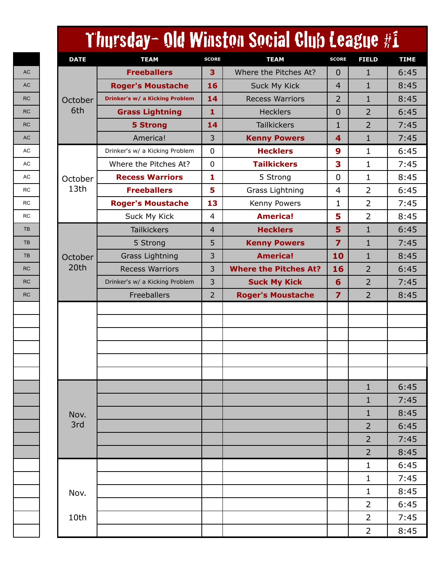|             |                                |                | Thursday- Old Winston Social Club League #1 |                |                |  |
|-------------|--------------------------------|----------------|---------------------------------------------|----------------|----------------|--|
| <b>DATE</b> | <b>TEAM</b>                    | <b>SCORE</b>   | <b>TEAM</b>                                 | <b>SCORE</b>   | <b>FIELD</b>   |  |
|             | <b>Freeballers</b>             | 3              | Where the Pitches At?                       | 0              | $\mathbf{1}$   |  |
|             | <b>Roger's Moustache</b>       | 16             | <b>Suck My Kick</b>                         | 4              | 1              |  |
| October     | Drinker's w/ a Kicking Problem | 14             | <b>Recess Warriors</b>                      | $\overline{2}$ | 1              |  |
| 6th         | <b>Grass Lightning</b>         | 1              | <b>Hecklers</b>                             | 0              | $\overline{2}$ |  |
|             | <b>5 Strong</b>                | 14             | <b>Tailkickers</b>                          | $\mathbf{1}$   | $\overline{2}$ |  |
|             | America!                       | 3              | <b>Kenny Powers</b>                         | 4              | 1              |  |
|             | Drinker's w/ a Kicking Problem | $\mathbf 0$    | <b>Hecklers</b>                             | 9              | 1              |  |
|             | Where the Pitches At?          | $\mathbf 0$    | <b>Tailkickers</b>                          | 3              | 1              |  |
| October     | <b>Recess Warriors</b>         | 1              | 5 Strong                                    | $\mathbf 0$    | 1              |  |
| 13th        | <b>Freeballers</b>             | 5              | Grass Lightning                             | 4              | $\overline{2}$ |  |
|             | <b>Roger's Moustache</b>       | 13             | Kenny Powers                                | 1              | $\overline{2}$ |  |
|             | Suck My Kick                   | 4              | <b>America!</b>                             | 5              | $\overline{2}$ |  |
|             | <b>Tailkickers</b>             | $\overline{4}$ | <b>Hecklers</b>                             | 5              | $\mathbf{1}$   |  |
|             | 5 Strong                       | 5              | <b>Kenny Powers</b>                         | $\overline{z}$ | 1              |  |
| October     | <b>Grass Lightning</b>         | 3              | <b>America!</b>                             | 10             | $\mathbf{1}$   |  |
| 20th        | <b>Recess Warriors</b>         | 3              | <b>Where the Pitches At?</b>                | 16             | $\overline{2}$ |  |
|             | Drinker's w/ a Kicking Problem | 3              | <b>Suck My Kick</b>                         | 6              | $\overline{2}$ |  |
|             | Freeballers                    | $\overline{2}$ | <b>Roger's Moustache</b>                    | $\overline{z}$ | $\overline{2}$ |  |
|             |                                |                |                                             |                |                |  |
|             |                                |                |                                             |                |                |  |
|             |                                |                |                                             |                |                |  |
|             |                                |                |                                             |                |                |  |
|             |                                |                |                                             |                |                |  |
|             |                                |                |                                             |                |                |  |
|             |                                |                |                                             |                | $\mathbf{1}$   |  |
|             |                                |                |                                             |                | $\mathbf{1}$   |  |
| Nov.        |                                |                |                                             |                | $\mathbf{1}$   |  |
| 3rd         |                                |                |                                             |                | $\overline{2}$ |  |
|             |                                |                |                                             |                | $\overline{2}$ |  |
|             |                                |                |                                             |                | $\overline{2}$ |  |
|             |                                |                |                                             |                | $\mathbf{1}$   |  |
|             |                                |                |                                             |                | $\mathbf{1}$   |  |
| Nov.        |                                |                |                                             |                | $\mathbf{1}$   |  |
|             |                                |                |                                             |                | $\overline{2}$ |  |
| 10th        |                                |                |                                             |                | 2              |  |
|             |                                |                |                                             |                | $\overline{2}$ |  |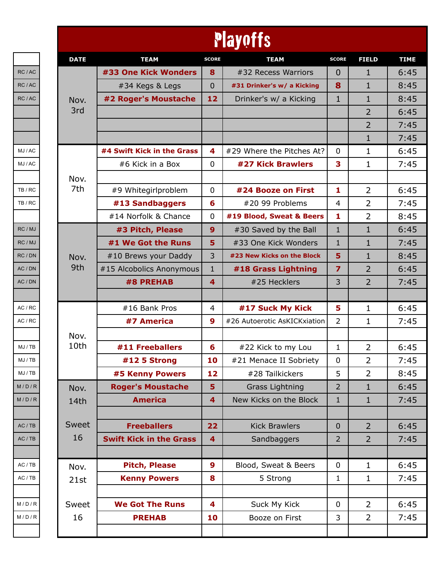|             |                                |                         | <b>Playoffs</b>              |                         |                |
|-------------|--------------------------------|-------------------------|------------------------------|-------------------------|----------------|
| <b>DATE</b> | <b>TEAM</b>                    | <b>SCORE</b>            | <b>TEAM</b>                  | <b>SCORE</b>            | <b>FIELD</b>   |
|             | #33 One Kick Wonders           | 8                       | #32 Recess Warriors          | $\overline{0}$          | $\mathbf 1$    |
|             | #34 Kegs & Legs                | 0                       | #31 Drinker's w/ a Kicking   | 8                       | 1              |
| Nov.        | #2 Roger's Moustache           | 12                      | Drinker's w/ a Kicking       | $\mathbf{1}$            | $\mathbf{1}$   |
| 3rd         |                                |                         |                              |                         | 2              |
|             |                                |                         |                              |                         | 2              |
|             |                                |                         |                              |                         | $\mathbf 1$    |
|             | #4 Swift Kick in the Grass     | 4                       | #29 Where the Pitches At?    | 0                       | 1              |
|             | #6 Kick in a Box               | $\mathbf 0$             | #27 Kick Brawlers            | 3                       | 1              |
| Nov.        |                                |                         |                              |                         |                |
| 7th         | #9 Whitegirlproblem            | 0                       | #24 Booze on First           | 1                       | 2              |
|             | #13 Sandbaggers                | 6                       | #20 99 Problems              | $\overline{4}$          | 2              |
|             | #14 Norfolk & Chance           | 0                       | #19 Blood, Sweat & Beers     | 1                       | $\overline{2}$ |
|             | #3 Pitch, Please               | 9                       | #30 Saved by the Ball        | $\mathbf{1}$            | $\mathbf{1}$   |
|             | #1 We Got the Runs             | 5                       | #33 One Kick Wonders         | $\mathbf{1}$            | $\mathbf{1}$   |
| Nov.        | #10 Brews your Daddy           | 3                       | #23 New Kicks on the Block   | 5                       | $\mathbf{1}$   |
| 9th         | #15 Alcobolics Anonymous       | $\mathbf{1}$            | #18 Grass Lightning          | $\overline{\mathbf{z}}$ | $\overline{2}$ |
|             | #8 PREHAB                      | $\overline{4}$          | #25 Hecklers                 | 3                       | $\overline{2}$ |
|             |                                |                         |                              |                         |                |
|             | #16 Bank Pros                  | 4                       | #17 Suck My Kick             | 5                       | $\mathbf 1$    |
|             | #7 America                     | 9                       | #26 Autoerotic AsKICKxiation | $\overline{2}$          | 1              |
| Nov.        |                                |                         |                              |                         |                |
| 10th        | #11 Freeballers                | 6                       | #22 Kick to my Lou           | 1                       | $\overline{2}$ |
|             | #12 5 Strong                   | 10                      | #21 Menace II Sobriety       | $\boldsymbol{0}$        | 2              |
|             | #5 Kenny Powers                | 12                      | #28 Tailkickers              | 5                       | $\overline{2}$ |
| Nov.        | <b>Roger's Moustache</b>       | 5                       | <b>Grass Lightning</b>       | 2                       | $\mathbf{1}$   |
| 14th        | <b>America</b>                 | 4                       | New Kicks on the Block       | $\mathbf{1}$            | $\mathbf{1}$   |
|             |                                |                         |                              |                         |                |
| Sweet       | <b>Freeballers</b>             | 22                      | <b>Kick Brawlers</b>         | $\mathbf 0$             | $\overline{2}$ |
| 16          | <b>Swift Kick in the Grass</b> | $\overline{\mathbf{4}}$ | Sandbaggers                  | $\overline{2}$          | $\overline{2}$ |
|             |                                |                         |                              |                         |                |
| Nov.        | <b>Pitch, Please</b>           | 9                       | Blood, Sweat & Beers         | $\mathbf 0$             | $\mathbf{1}$   |
| 21st        | <b>Kenny Powers</b>            | 8                       | 5 Strong                     | 1                       | $\mathbf{1}$   |
|             |                                |                         |                              |                         |                |
|             |                                |                         |                              |                         |                |
| Sweet       | <b>We Got The Runs</b>         | 4                       | Suck My Kick                 | $\mathbf 0$             | 2              |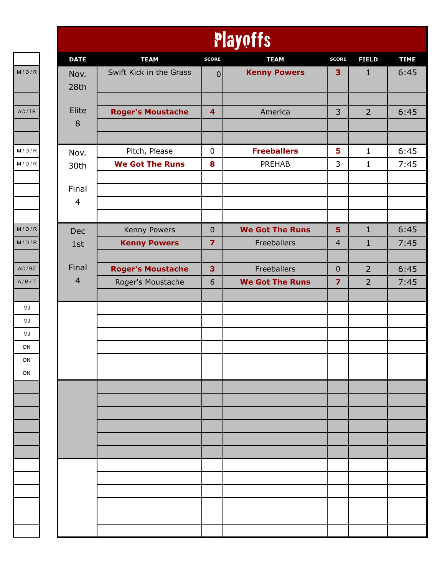|                | Playoffs                 |                         |                        |                         |                |             |  |  |  |  |
|----------------|--------------------------|-------------------------|------------------------|-------------------------|----------------|-------------|--|--|--|--|
| <b>DATE</b>    | <b>TEAM</b>              | <b>SCORE</b>            | <b>TEAM</b>            | <b>SCORE</b>            | <b>FIELD</b>   | <b>TIME</b> |  |  |  |  |
| Nov.           | Swift Kick in the Grass  | $\mathbf 0$             | <b>Kenny Powers</b>    | 3                       | $\mathbf{1}$   | 6:45        |  |  |  |  |
| 28th           |                          |                         |                        |                         |                |             |  |  |  |  |
|                |                          |                         |                        |                         |                |             |  |  |  |  |
| Elite<br>8     | <b>Roger's Moustache</b> | $\overline{\mathbf{4}}$ | America                | 3                       | $\overline{2}$ | 6:45        |  |  |  |  |
|                |                          |                         |                        |                         |                |             |  |  |  |  |
| Nov.           | Pitch, Please            | $\mathbf 0$             | <b>Freeballers</b>     | 5                       | $\mathbf{1}$   | 6:45        |  |  |  |  |
| 30th           | <b>We Got The Runs</b>   | 8                       | PREHAB                 | 3                       | $\mathbf{1}$   | 7:45        |  |  |  |  |
|                |                          |                         |                        |                         |                |             |  |  |  |  |
| Final          |                          |                         |                        |                         |                |             |  |  |  |  |
| $\overline{4}$ |                          |                         |                        |                         |                |             |  |  |  |  |
|                |                          |                         |                        |                         |                |             |  |  |  |  |
| Dec            | Kenny Powers             | $\mathbf{0}$            | <b>We Got The Runs</b> | 5                       | $\mathbf{1}$   | 6:45        |  |  |  |  |
| 1st            | <b>Kenny Powers</b>      | $\overline{\mathbf{z}}$ | Freeballers            | $\overline{4}$          | $\mathbf{1}$   | 7:45        |  |  |  |  |
| Final          | <b>Roger's Moustache</b> | $\overline{\mathbf{3}}$ | Freeballers            | $\mathbf{0}$            | $\overline{2}$ | 6:45        |  |  |  |  |
| $\overline{4}$ | Roger's Moustache        | 6                       | <b>We Got The Runs</b> | $\overline{\mathbf{z}}$ | $\overline{2}$ | 7:45        |  |  |  |  |
|                |                          |                         |                        |                         |                |             |  |  |  |  |
|                |                          |                         |                        |                         |                |             |  |  |  |  |
|                |                          |                         |                        |                         |                |             |  |  |  |  |
|                |                          |                         |                        |                         |                |             |  |  |  |  |
|                |                          |                         |                        |                         |                |             |  |  |  |  |
|                |                          |                         |                        |                         |                |             |  |  |  |  |
|                |                          |                         |                        |                         |                |             |  |  |  |  |
|                |                          |                         |                        |                         |                |             |  |  |  |  |
|                |                          |                         |                        |                         |                |             |  |  |  |  |
|                |                          |                         |                        |                         |                |             |  |  |  |  |
|                |                          |                         |                        |                         |                |             |  |  |  |  |
|                |                          |                         |                        |                         |                |             |  |  |  |  |
|                |                          |                         |                        |                         |                |             |  |  |  |  |
|                |                          |                         |                        |                         |                |             |  |  |  |  |
|                |                          |                         |                        |                         |                |             |  |  |  |  |
|                |                          |                         |                        |                         |                |             |  |  |  |  |
|                |                          |                         |                        |                         |                |             |  |  |  |  |
|                |                          |                         |                        |                         |                |             |  |  |  |  |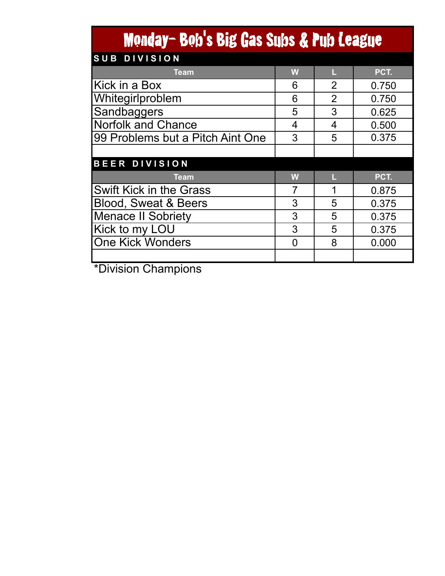## Monday- Bob's Big Gas Subs & Pub League

| SUB DIVISION                     |   |                |       |
|----------------------------------|---|----------------|-------|
| <b>Team</b>                      | W |                | PCT.  |
| Kick in a Box                    | 6 | $\overline{2}$ | 0.750 |
| Whitegirlproblem                 | 6 | 0.750          |       |
| Sandbaggers                      | 5 | 3              | 0.625 |
| <b>Norfolk and Chance</b>        | 4 | 4              | 0.500 |
| 99 Problems but a Pitch Aint One | 3 | 5              | 0.375 |
|                                  |   |                |       |
| <b>BEER DIVISION</b>             |   |                |       |
| <b>Team</b>                      | W |                | PCT.  |
| <b>Swift Kick in the Grass</b>   |   | 1              | 0.875 |
| <b>Blood, Sweat &amp; Beers</b>  | 3 | 5              | 0.375 |
| <b>Menace II Sobriety</b>        | 3 | 5              | 0.375 |
|                                  |   |                |       |
| Kick to my LOU                   | 3 | 5              | 0.375 |
| One Kick Wonders                 | ∩ | 8              | 0.000 |
|                                  |   |                |       |

\*Division Champions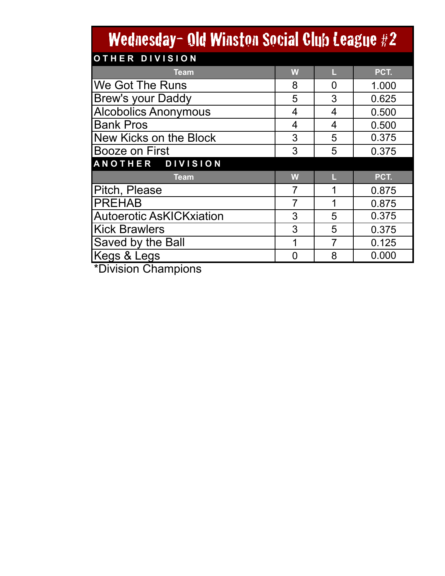| Wednesday- Old Winston Social Club League #2 |   |                |       |  |  |  |  |  |  |  |
|----------------------------------------------|---|----------------|-------|--|--|--|--|--|--|--|
| <b>OTHER DIVISION</b>                        |   |                |       |  |  |  |  |  |  |  |
| <b>Team</b>                                  | W | L              | PCT.  |  |  |  |  |  |  |  |
| We Got The Runs                              | 8 | 0              | 1.000 |  |  |  |  |  |  |  |
| Brew's your Daddy                            | 5 | 3              | 0.625 |  |  |  |  |  |  |  |
| <b>Alcobolics Anonymous</b>                  | 4 | 4              | 0.500 |  |  |  |  |  |  |  |
| <b>Bank Pros</b>                             | 4 | 4              | 0.500 |  |  |  |  |  |  |  |
| New Kicks on the Block                       | 3 | 5              | 0.375 |  |  |  |  |  |  |  |
| <b>Booze on First</b>                        | 3 | 5              | 0.375 |  |  |  |  |  |  |  |
| ANOTHER DIVISION                             |   |                |       |  |  |  |  |  |  |  |
| <b>Team</b>                                  | W | Ц              | PCT.  |  |  |  |  |  |  |  |
| Pitch, Please                                | 7 | 1              | 0.875 |  |  |  |  |  |  |  |
| <b>PREHAB</b>                                | 7 | 1              | 0.875 |  |  |  |  |  |  |  |
| <b>Autoerotic AsKICKxiation</b>              | 3 | 5              | 0.375 |  |  |  |  |  |  |  |
| <b>Kick Brawlers</b>                         | 3 | 5              | 0.375 |  |  |  |  |  |  |  |
| Saved by the Ball                            | 1 | $\overline{7}$ | 0.125 |  |  |  |  |  |  |  |
| Kegs & Legs                                  | 0 | 8              | 0.000 |  |  |  |  |  |  |  |
| $*$ Division Champiano                       |   |                |       |  |  |  |  |  |  |  |

\*Division Champions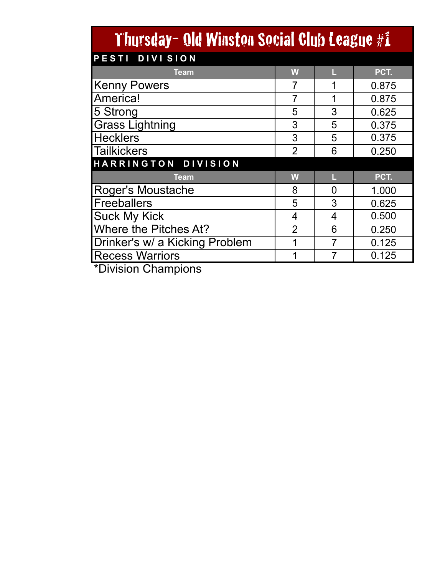| Thursday- Old Winston Social Club League #1 |                |                |       |  |  |  |  |  |  |  |
|---------------------------------------------|----------------|----------------|-------|--|--|--|--|--|--|--|
| PESTI DIVISION                              |                |                |       |  |  |  |  |  |  |  |
| <b>Team</b>                                 | W              | L              | PCT.  |  |  |  |  |  |  |  |
| <b>Kenny Powers</b>                         |                | 1              | 0.875 |  |  |  |  |  |  |  |
| America!                                    | 7              | 1              | 0.875 |  |  |  |  |  |  |  |
| 5 Strong                                    | 5              | 3              | 0.625 |  |  |  |  |  |  |  |
| <b>Grass Lightning</b>                      | 3              | 5              | 0.375 |  |  |  |  |  |  |  |
| <b>Hecklers</b>                             | 3              | 5              | 0.375 |  |  |  |  |  |  |  |
| <b>Tailkickers</b>                          | $\overline{2}$ | 6              | 0.250 |  |  |  |  |  |  |  |
| HARRINGTON DIVISION                         |                |                |       |  |  |  |  |  |  |  |
| <b>Team</b>                                 | W              | Ц              | PCT.  |  |  |  |  |  |  |  |
| <b>Roger's Moustache</b>                    | 8              | 0              | 1.000 |  |  |  |  |  |  |  |
| <b>Freeballers</b>                          | 5              | 3              | 0.625 |  |  |  |  |  |  |  |
| <b>Suck My Kick</b>                         | 4              | 4              | 0.500 |  |  |  |  |  |  |  |
| Where the Pitches At?                       | $\overline{2}$ | 6              | 0.250 |  |  |  |  |  |  |  |
| Drinker's w/ a Kicking Problem              | 1              | $\overline{7}$ | 0.125 |  |  |  |  |  |  |  |
| <b>Recess Warriors</b>                      | 1              |                | 0.125 |  |  |  |  |  |  |  |
| $*$ Division Champiano                      |                |                |       |  |  |  |  |  |  |  |

\*Division Champions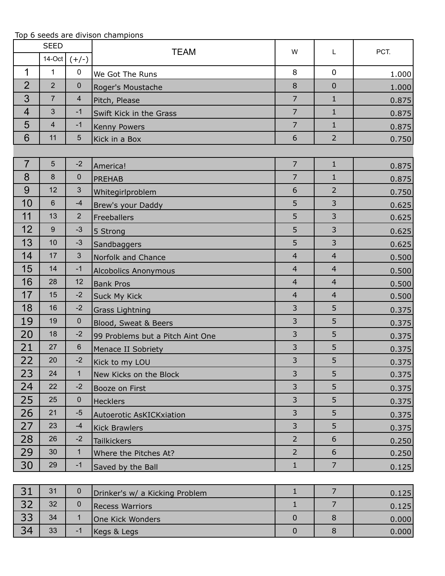|                |                  |                | Top 6 seeds are divison champions |                |                |       |
|----------------|------------------|----------------|-----------------------------------|----------------|----------------|-------|
|                | <b>SEED</b>      |                | <b>TEAM</b>                       | W              | L              | PCT.  |
|                | 14-Oct           | $(+/-)$        |                                   |                |                |       |
| 1              | $\mathbf{1}$     | $\mathbf 0$    | We Got The Runs                   | 8              | $\mathbf 0$    | 1.000 |
| $\overline{2}$ | $\overline{2}$   | $\mathbf 0$    | Roger's Moustache                 | 8              | $\mathbf 0$    | 1.000 |
| 3              | $\overline{7}$   | $\overline{4}$ | Pitch, Please                     | $\overline{7}$ | $\mathbf{1}$   | 0.875 |
| $\overline{4}$ | $\mathfrak{S}$   | $-1$           | Swift Kick in the Grass           | $\overline{7}$ | $\mathbf{1}$   | 0.875 |
| 5              | $\overline{4}$   | $-1$           | Kenny Powers                      | $\overline{7}$ | $\mathbf{1}$   | 0.875 |
| 6              | 11               | 5              | Kick in a Box                     | 6              | $\overline{2}$ | 0.750 |
|                |                  |                |                                   |                |                |       |
| $\overline{7}$ | $5\phantom{.}$   | $-2$           | America!                          | $\overline{7}$ | $\mathbf{1}$   | 0.875 |
| 8              | $\boldsymbol{8}$ | $\mathbf 0$    | <b>PREHAB</b>                     | $\overline{7}$ | $\mathbf{1}$   | 0.875 |
| 9              | 12               | 3              | Whitegirlproblem                  | 6              | $\overline{2}$ | 0.750 |
| 10             | $6\phantom{1}$   | $-4$           | Brew's your Daddy                 | 5              | 3              | 0.625 |
| 11             | 13               | $\overline{2}$ | Freeballers                       | 5              | 3              | 0.625 |
| 12             | 9                | $-3$           | 5 Strong                          | 5              | 3              | 0.625 |
| 13             | 10               | $-3$           | Sandbaggers                       | 5              | 3              | 0.625 |
| 14             | 17               | 3              | Norfolk and Chance                | $\overline{4}$ | $\overline{4}$ | 0.500 |
| 15             | 14               | $-1$           | <b>Alcobolics Anonymous</b>       | $\overline{4}$ | $\overline{4}$ | 0.500 |
| 16             | 28               | 12             | <b>Bank Pros</b>                  | $\overline{4}$ | $\overline{4}$ | 0.500 |
| 17             | 15               | $-2$           | Suck My Kick                      | $\overline{4}$ | $\overline{4}$ | 0.500 |
| 18             | 16               | $-2$           | <b>Grass Lightning</b>            | 3              | 5              | 0.375 |
| 19             | 19               | $\mathbf 0$    | Blood, Sweat & Beers              | 3              | 5              | 0.375 |
| 20             | 18               | $-2$           | 99 Problems but a Pitch Aint One  | 3              | 5              | 0.375 |
| 21             | 27               | $6\phantom{1}$ | Menace II Sobriety                | 3              | 5              | 0.375 |
| 22             | 20               | $-2$           | Kick to my LOU                    | 3              | 5              | 0.375 |
| 23             | 24               | $\mathbf{1}$   | New Kicks on the Block            | 3              | 5              | 0.375 |
| 24             | 22               | $-2$           | Booze on First                    | 3              | 5              | 0.375 |
| 25             | 25               | $\pmb{0}$      | <b>Hecklers</b>                   | 3              | 5              | 0.375 |
| 26             | 21               | $-5$           | Autoerotic AsKICKxiation          | 3              | 5              | 0.375 |
| 27             | 23               | $-4$           | <b>Kick Brawlers</b>              | 3              | 5              | 0.375 |
| 28             | 26               | $-2$           | <b>Tailkickers</b>                | $\overline{2}$ | 6              | 0.250 |
| 29             | 30               | $\mathbf{1}$   | Where the Pitches At?             | $\overline{2}$ | 6              | 0.250 |
| 30             | 29               | $-1$           | Saved by the Ball                 | $\mathbf{1}$   | $\overline{7}$ | 0.125 |
|                |                  |                |                                   |                |                |       |
| 31             | 31               | $\mathbf 0$    | Drinker's w/ a Kicking Problem    | $\mathbf{1}$   | $\overline{7}$ | 0.125 |
| 32             | 32               | $\pmb{0}$      | <b>Recess Warriors</b>            | $\mathbf{1}$   | $\overline{7}$ | 0.125 |
| 33             | 34               | $\mathbf{1}$   | One Kick Wonders                  | $\mathbf 0$    | $\,8\,$        | 0.000 |
| 34             | 33               | $-1$           | Kegs & Legs                       | $\pmb{0}$      | $\,8\,$        | 0.000 |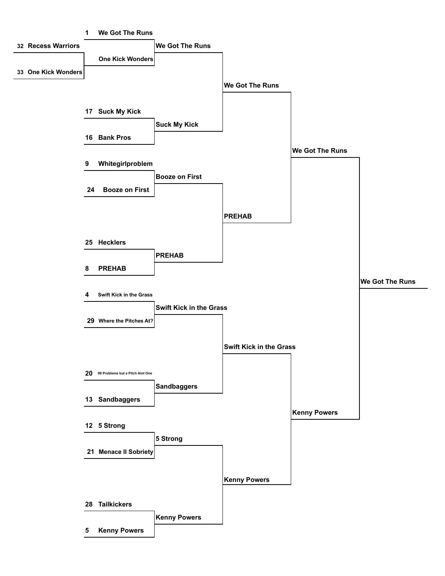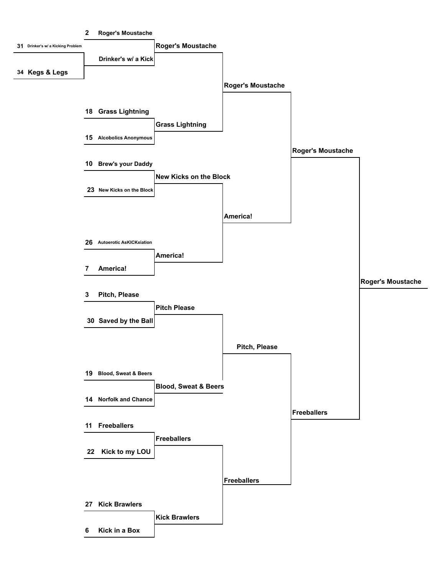